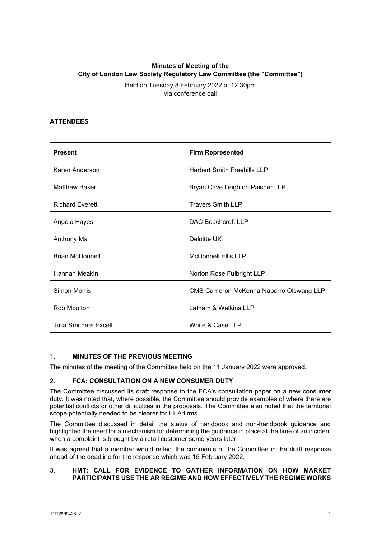# **Minutes of Meeting of the City of London Law Society Regulatory Law Committee (the "Committee")**

Held on Tuesday 8 February 2022 at 12.30pm via conference call

## **ATTENDEES**

| <b>Present</b>               | <b>Firm Represented</b>                 |
|------------------------------|-----------------------------------------|
| Karen Anderson               | <b>Herbert Smith Freehills LLP</b>      |
| <b>Matthew Baker</b>         | Bryan Cave Leighton Paisner LLP         |
| <b>Richard Everett</b>       | <b>Travers Smith LLP</b>                |
| Angela Hayes                 | DAC Beachcroft LLP                      |
| Anthony Ma                   | Deloitte UK                             |
| <b>Brian McDonnell</b>       | <b>McDonnell Ellis LLP</b>              |
| Hannah Meakin                | Norton Rose Fulbright LLP               |
| <b>Simon Morris</b>          | CMS Cameron McKenna Nabarro Olswang LLP |
| <b>Rob Moulton</b>           | Latham & Watkins LLP                    |
| <b>Julia Smithers Excell</b> | White & Case LLP                        |

### 1. **MINUTES OF THE PREVIOUS MEETING**

The minutes of the meeting of the Committee held on the 11 January 2022 were approved.

### 2. **FCA: CONSULTATION ON A NEW CONSUMER DUTY**

The Committee discussed its draft response to the FCA's consultation paper on a new consumer duty. It was noted that, where possible, the Committee should provide examples of where there are potential conflicts or other difficulties in the proposals. The Committee also noted that the territorial scope potentially needed to be clearer for EEA firms.

The Committee discussed in detail the status of handbook and non-handbook guidance and highlighted the need for a mechanism for determining the guidance in place at the time of an incident when a complaint is brought by a retail customer some years later.

It was agreed that a member would reflect the comments of the Committee in the draft response ahead of the deadline for the response which was 15 February 2022.

#### 3. **HMT: CALL FOR EVIDENCE TO GATHER INFORMATION ON HOW MARKET PARTICIPANTS USE THE AR REGIME AND HOW EFFECTIVELY THE REGIME WORKS**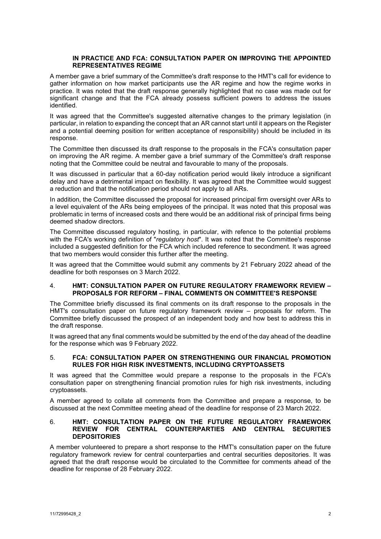#### **IN PRACTICE AND FCA: CONSULTATION PAPER ON IMPROVING THE APPOINTED REPRESENTATIVES REGIME**

A member gave a brief summary of the Committee's draft response to the HMT's call for evidence to gather information on how market participants use the AR regime and how the regime works in practice. It was noted that the draft response generally highlighted that no case was made out for significant change and that the FCA already possess sufficient powers to address the issues identified.

It was agreed that the Committee's suggested alternative changes to the primary legislation (in particular, in relation to expanding the concept that an AR cannot start until it appears on the Register and a potential deeming position for written acceptance of responsibility) should be included in its response.

The Committee then discussed its draft response to the proposals in the FCA's consultation paper on improving the AR regime. A member gave a brief summary of the Committee's draft response noting that the Committee could be neutral and favourable to many of the proposals.

It was discussed in particular that a 60-day notification period would likely introduce a significant delay and have a detrimental impact on flexibility. It was agreed that the Committee would suggest a reduction and that the notification period should not apply to all ARs.

In addition, the Committee discussed the proposal for increased principal firm oversight over ARs to a level equivalent of the ARs being employees of the principal. It was noted that this proposal was problematic in terms of increased costs and there would be an additional risk of principal firms being deemed shadow directors.

The Committee discussed regulatory hosting, in particular, with refence to the potential problems with the FCA's working definition of "*regulatory host*". It was noted that the Committee's response included a suggested definition for the FCA which included reference to secondment. It was agreed that two members would consider this further after the meeting.

It was agreed that the Committee would submit any comments by 21 February 2022 ahead of the deadline for both responses on 3 March 2022.

#### 4. **HMT: CONSULTATION PAPER ON FUTURE REGULATORY FRAMEWORK REVIEW – PROPOSALS FOR REFORM – FINAL COMMENTS ON COMMITTEE'S RESPONSE**

The Committee briefly discussed its final comments on its draft response to the proposals in the HMT's consultation paper on future regulatory framework review – proposals for reform. The Committee briefly discussed the prospect of an independent body and how best to address this in the draft response.

It was agreed that any final comments would be submitted by the end of the day ahead of the deadline for the response which was 9 February 2022.

#### 5. **FCA: CONSULTATION PAPER ON STRENGTHENING OUR FINANCIAL PROMOTION RULES FOR HIGH RISK INVESTMENTS, INCLUDING CRYPTOASSETS**

It was agreed that the Committee would prepare a response to the proposals in the FCA's consultation paper on strengthening financial promotion rules for high risk investments, including cryptoassets.

A member agreed to collate all comments from the Committee and prepare a response, to be discussed at the next Committee meeting ahead of the deadline for response of 23 March 2022.

#### 6. **HMT: CONSULTATION PAPER ON THE FUTURE REGULATORY FRAMEWORK REVIEW FOR CENTRAL COUNTERPARTIES AND CENTRAL SECURITIES DEPOSITORIES**

A member volunteered to prepare a short response to the HMT's consultation paper on the future regulatory framework review for central counterparties and central securities depositories. It was agreed that the draft response would be circulated to the Committee for comments ahead of the deadline for response of 28 February 2022.